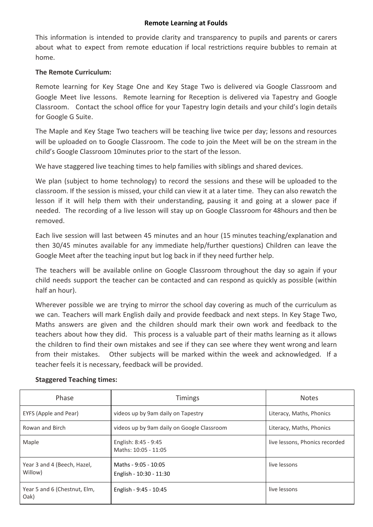## **Remote Learning at Foulds**

This information is intended to provide clarity and transparency to pupils and parents or carers about what to expect from remote education if local restrictions require bubbles to remain at home.

# **The Remote Curriculum:**

Remote learning for Key Stage One and Key Stage Two is delivered via Google Classroom and Google Meet live lessons. Remote learning for Reception is delivered via Tapestry and Google Classroom. Contact the school office for your Tapestry login details and your child's login details for Google G Suite.

The Maple and Key Stage Two teachers will be teaching live twice per day; lessons and resources will be uploaded on to Google Classroom. The code to join the Meet will be on the stream in the child's Google Classroom 10minutes prior to the start of the lesson.

We have staggered live teaching times to help families with siblings and shared devices.

We plan (subject to home technology) to record the sessions and these will be uploaded to the classroom. If the session is missed, your child can view it at a later time. They can also rewatch the lesson if it will help them with their understanding, pausing it and going at a slower pace if needed. The recording of a live lesson will stay up on Google Classroom for 48hours and then be removed.

Each live session will last between 45 minutes and an hour (15 minutes teaching/explanation and then 30/45 minutes available for any immediate help/further questions) Children can leave the Google Meet after the teaching input but log back in if they need further help.

The teachers will be available online on Google Classroom throughout the day so again if your child needs support the teacher can be contacted and can respond as quickly as possible (within half an hour).

Wherever possible we are trying to mirror the school day covering as much of the curriculum as we can. Teachers will mark English daily and provide feedback and next steps. In Key Stage Two, Maths answers are given and the children should mark their own work and feedback to the teachers about how they did. This process is a valuable part of their maths learning as it allows the children to find their own mistakes and see if they can see where they went wrong and learn from their mistakes. Other subjects will be marked within the week and acknowledged. If a teacher feels it is necessary, feedback will be provided.

| Phase                                  | <b>Timings</b>                                  | <b>Notes</b>                   |
|----------------------------------------|-------------------------------------------------|--------------------------------|
| EYFS (Apple and Pear)                  | videos up by 9am daily on Tapestry              | Literacy, Maths, Phonics       |
| Rowan and Birch                        | videos up by 9am daily on Google Classroom      | Literacy, Maths, Phonics       |
| Maple                                  | English: 8:45 - 9:45<br>Maths: 10:05 - 11:05    | live lessons, Phonics recorded |
| Year 3 and 4 (Beech, Hazel,<br>Willow) | Maths - 9:05 - 10:05<br>English - 10:30 - 11:30 | live lessons                   |
| Year 5 and 6 (Chestnut, Elm,<br>Oak)   | English - 9:45 - 10:45                          | live lessons                   |

# **Staggered Teaching times:**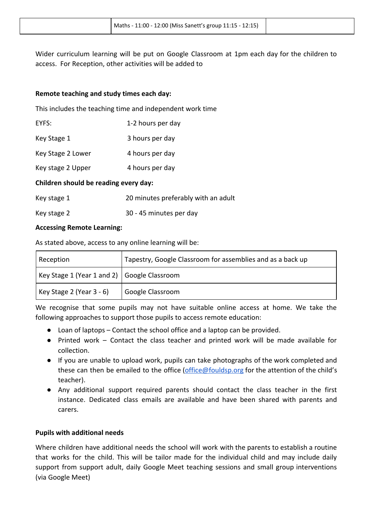Wider curriculum learning will be put on Google Classroom at 1pm each day for the children to access. For Reception, other activities will be added to

#### **Remote teaching and study times each day:**

This includes the teaching time and independent work time

| EYFS: | 1-2 hours per day |
|-------|-------------------|
|       |                   |

| Key Stage 1 | 3 hours per day |
|-------------|-----------------|
|-------------|-----------------|

Key Stage 2 Lower 4 hours per day

Key stage 2 Upper 4 hours per day

#### **Children should be reading every day:**

| Key stage 1 | 20 minutes preferably with an adult |
|-------------|-------------------------------------|
|             |                                     |

Key stage 2 30 - 45 minutes per day

## **Accessing Remote Learning:**

As stated above, access to any online learning will be:

| Reception                                     | Tapestry, Google Classroom for assemblies and as a back up |
|-----------------------------------------------|------------------------------------------------------------|
| Key Stage 1 (Year 1 and 2)   Google Classroom |                                                            |
| Key Stage 2 (Year $3 - 6$ )                   | Google Classroom                                           |

We recognise that some pupils may not have suitable online access at home. We take the following approaches to support those pupils to access remote education:

- Loan of laptops Contact the school office and a laptop can be provided.
- Printed work Contact the class teacher and printed work will be made available for collection.
- If you are unable to upload work, pupils can take photographs of the work completed and these can then be emailed to the office ([office@fouldsp.org](mailto:office@fouldsp.org) for the attention of the child's teacher).
- Any additional support required parents should contact the class teacher in the first instance. Dedicated class emails are available and have been shared with parents and carers.

#### **Pupils with additional needs**

Where children have additional needs the school will work with the parents to establish a routine that works for the child. This will be tailor made for the individual child and may include daily support from support adult, daily Google Meet teaching sessions and small group interventions (via Google Meet)